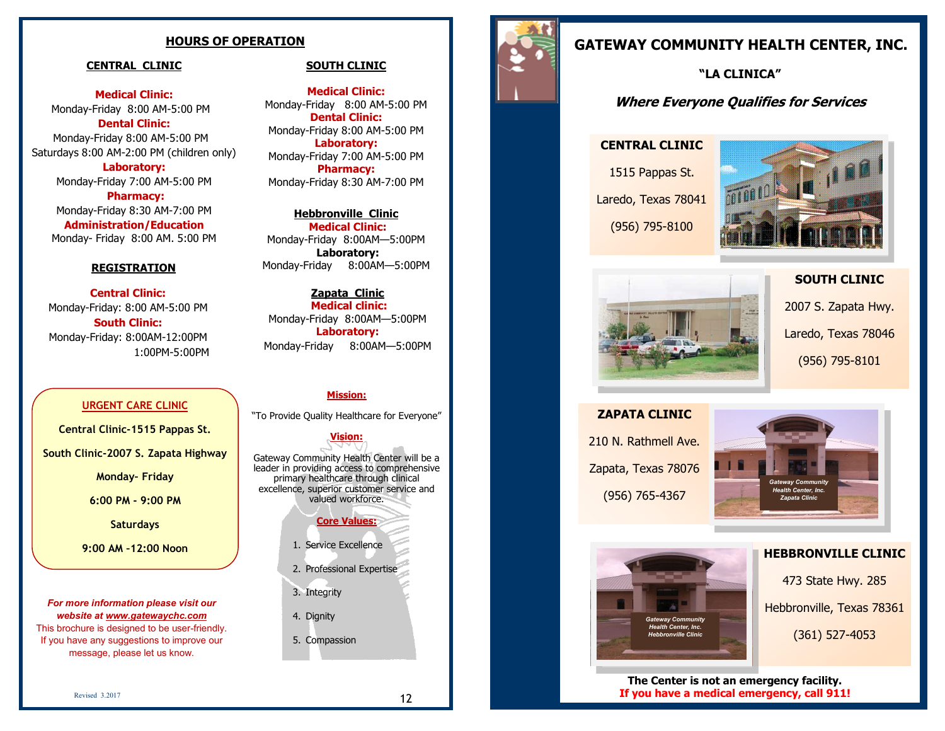## **HOURS OF OPERATION**

#### **CENTRAL CLINIC**

**Medical Clinic:**  Monday-Friday 8:00 AM-5:00 PM **Dental Clinic:** 

Monday-Friday 8:00 AM-5:00 PM Saturdays 8:00 AM-2:00 PM (children only)

**Laboratory:**  Monday-Friday 7:00 AM-5:00 PM **Pharmacy:**  Monday-Friday 8:30 AM-7:00 PM **Administration/Education** Monday- Friday 8:00 AM. 5:00 PM

#### **REGISTRATION**

**Central Clinic:**  Monday-Friday: 8:00 AM-5:00 PM **South Clinic:** Monday-Friday: 8:00AM-12:00PM 1:00PM-5:00PM

#### **URGENT CARE CLINIC**

**Central Clinic-1515 Pappas St.** 

**South Clinic-2007 S. Zapata Highway**

**Monday– Friday** 

**6:00 PM - 9:00 PM**

**Saturdays** 

**9:00 AM –12:00 Noon** 

*For more information please visit our website at www.gatewaychc.com* 

This brochure is designed to be user-friendly. If you have any suggestions to improve our message, please let us know.

## **SOUTH CLINIC**

**Medical Clinic:**  Monday-Friday 8:00 AM-5:00 PM **Dental Clinic:** Monday-Friday 8:00 AM-5:00 PM **Laboratory:** Monday-Friday 7:00 AM-5:00 PM **Pharmacy:** Monday-Friday 8:30 AM-7:00 PM

**Hebbronville Clinic Medical Clinic:**  Monday-Friday 8:00AM—5:00PM **Laboratory:**  Monday-Friday 8:00AM—5:00PM

**Zapata Clinic Medical clinic:**  Monday-Friday 8:00AM—5:00PM **Laboratory:**  Monday-Friday 8:00AM—5:00PM

#### **Mission:**

"To Provide Quality Healthcare for Everyone"

#### **Vision:**

Gateway Community Health Center will be a leader in providing access to comprehensive primary healthcare through clinical excellence, superior customer service and valued workforce.



- 1. Service Excellence
- 2. Professional Expertise
- 3. Integrity
- 4. Dignity
- 5. Compassion



# **GATEWAY COMMUNITY HEALTH CENTER, INC.**

**"LA CLINICA"**

# **Where Everyone Qualifies for Services**

#### **CENTRAL CLINIC**

1515 Pappas St. Laredo, Texas 78041

(956) 795-8100



# **SOUTH CLINIC**



2007 S. Zapata Hwy. Laredo, Texas 78046 (956) 795-8101

**ZAPATA CLINIC** 210 N. Rathmell Ave. Zapata, Texas 78076 (956) 765-4367





#### **HEBBRONVILLE CLINIC**

473 State Hwy. 285 Hebbronville, Texas 78361 (361) 527-4053

**The Center is not an emergency facility. If you have a medical emergency, call 911!**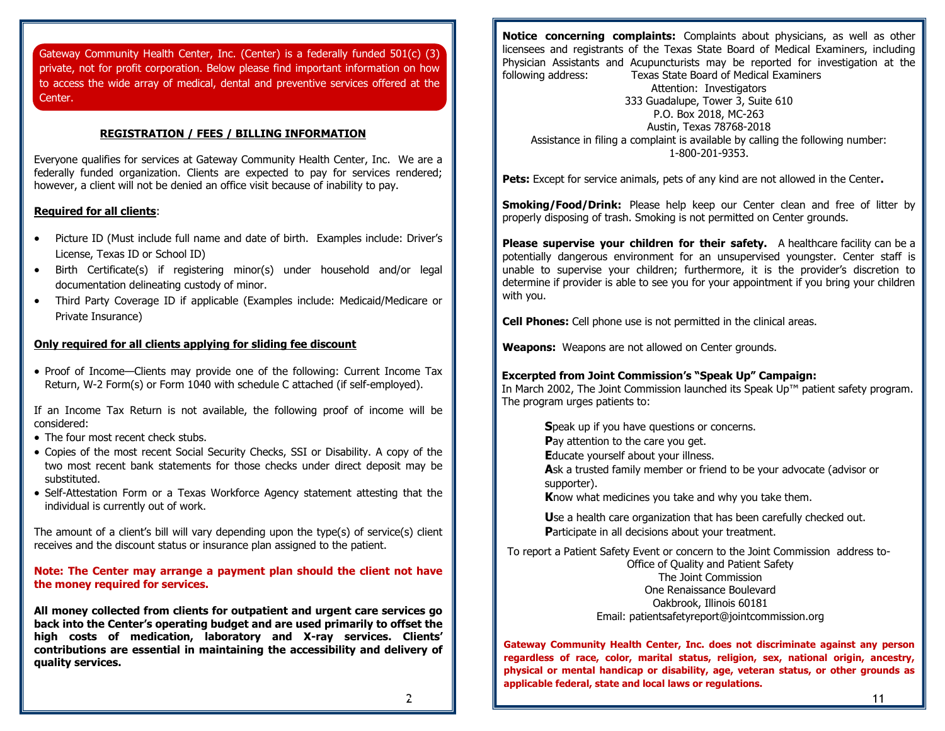Gateway Community Health Center, Inc. (Center) is a federally funded 501(c) (3) private, not for profit corporation. Below please find important information on how to access the wide array of medical, dental and preventive services offered at the Center.

#### **REGISTRATION / FEES / BILLING INFORMATION**

Everyone qualifies for services at Gateway Community Health Center, Inc. We are a federally funded organization. Clients are expected to pay for services rendered; however, a client will not be denied an office visit because of inability to pay.

#### **Required for all clients**:

- Picture ID (Must include full name and date of birth. Examples include: Driver's License, Texas ID or School ID)
- Birth Certificate(s) if registering minor(s) under household and/or legal documentation delineating custody of minor.
- Third Party Coverage ID if applicable (Examples include: Medicaid/Medicare or Private Insurance)

#### **Only required for all clients applying for sliding fee discount**

• Proof of Income—Clients may provide one of the following: Current Income Tax Return, W-2 Form(s) or Form 1040 with schedule C attached (if self-employed).

If an Income Tax Return is not available, the following proof of income will be considered:

- The four most recent check stubs.
- Copies of the most recent Social Security Checks, SSI or Disability. A copy of the two most recent bank statements for those checks under direct deposit may be substituted.
- Self-Attestation Form or a Texas Workforce Agency statement attesting that the individual is currently out of work.

The amount of a client's bill will vary depending upon the type(s) of service(s) client receives and the discount status or insurance plan assigned to the patient.

#### **Note: The Center may arrange a payment plan should the client not have the money required for services.**

**All money collected from clients for outpatient and urgent care services go back into the Center's operating budget and are used primarily to offset the high costs of medication, laboratory and X-ray services. Clients' contributions are essential in maintaining the accessibility and delivery of quality services.**

**Notice concerning complaints:** Complaints about physicians, as well as other licensees and registrants of the Texas State Board of Medical Examiners, including Physician Assistants and Acupuncturists may be reported for investigation at the following address: Texas State Board of Medical Examiners Attention: Investigators 333 Guadalupe, Tower 3, Suite 610 P.O. Box 2018, MC-263 Austin, Texas 78768-2018 Assistance in filing a complaint is available by calling the following number: 1-800-201-9353.

**Pets:** Except for service animals, pets of any kind are not allowed in the Center**.**

**Smoking/Food/Drink:** Please help keep our Center clean and free of litter by properly disposing of trash. Smoking is not permitted on Center grounds.

**Please supervise your children for their safety.** A healthcare facility can be a potentially dangerous environment for an unsupervised youngster. Center staff is unable to supervise your children; furthermore, it is the provider's discretion to determine if provider is able to see you for your appointment if you bring your children with you.

**Cell Phones:** Cell phone use is not permitted in the clinical areas.

**Weapons:** Weapons are not allowed on Center grounds.

#### **Excerpted from Joint Commission's "Speak Up" Campaign:**

In March 2002, The Joint Commission launched its Speak Up™ patient safety program. The program urges patients to:

**S**peak up if you have questions or concerns. **P**ay attention to the care you get. **E**ducate yourself about your illness. **A**sk a trusted family member or friend to be your advocate (advisor or supporter). **K**now what medicines you take and why you take them.

**U**se a health care organization that has been carefully checked out. **P**articipate in all decisions about your treatment.

To report a Patient Safety Event or concern to the Joint Commission address to-

Office of Quality and Patient Safety The Joint Commission One Renaissance Boulevard Oakbrook, Illinois 60181 Email: patientsafetyreport@jointcommission.org

**Gateway Community Health Center, Inc. does not discriminate against any person regardless of race, color, marital status, religion, sex, national origin, ancestry, physical or mental handicap or disability, age, veteran status, or other grounds as applicable federal, state and local laws or regulations.**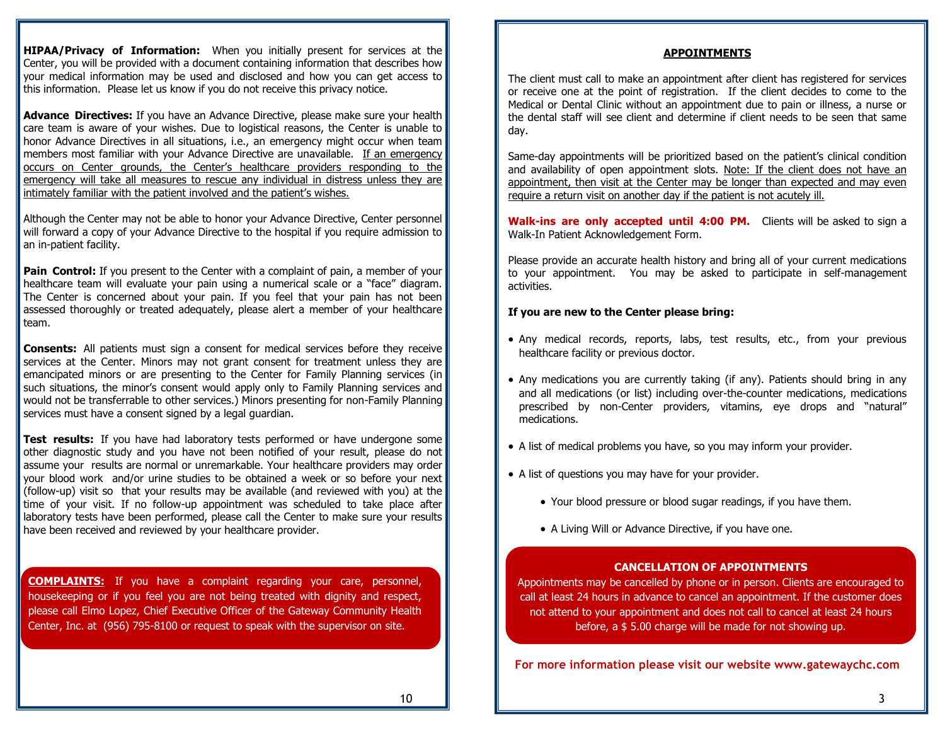**HIPAA/Privacy of Information:** When you initially present for services at the Center, you will be provided with a document containing information that describes how your medical information may be used and disclosed and how you can get access to this information. Please let us know if you do not receive this privacy notice.

**Advance Directives:** If you have an Advance Directive, please make sure your health care team is aware of your wishes. Due to logistical reasons, the Center is unable to honor Advance Directives in all situations, i.e., an emergency might occur when team members most familiar with your Advance Directive are unavailable. If an emergency occurs on Center grounds, the Center's healthcare providers responding to the emergency will take all measures to rescue any individual in distress unless they are intimately familiar with the patient involved and the patient's wishes.

Although the Center may not be able to honor your Advance Directive, Center personnel will forward a copy of your Advance Directive to the hospital if you require admission to an in-patient facility.

**Pain Control:** If you present to the Center with a complaint of pain, a member of your healthcare team will evaluate your pain using a numerical scale or a "face" diagram. The Center is concerned about your pain. If you feel that your pain has not been assessed thoroughly or treated adequately, please alert a member of your healthcare team.

**Consents:** All patients must sign a consent for medical services before they receive services at the Center. Minors may not grant consent for treatment unless they are emancipated minors or are presenting to the Center for Family Planning services (in such situations, the minor's consent would apply only to Family Planning services and would not be transferrable to other services.) Minors presenting for non-Family Planning services must have a consent signed by a legal guardian.

**Test results:** If you have had laboratory tests performed or have undergone some other diagnostic study and you have not been notified of your result, please do not assume your results are normal or unremarkable. Your healthcare providers may order your blood work and/or urine studies to be obtained a week or so before your next (follow-up) visit so that your results may be available (and reviewed with you) at the time of your visit. If no follow-up appointment was scheduled to take place after laboratory tests have been performed, please call the Center to make sure your results have been received and reviewed by your healthcare provider.

**COMPLAINTS:** If you have a complaint regarding your care, personnel, housekeeping or if you feel you are not being treated with dignity and respect, please call Elmo Lopez, Chief Executive Officer of the Gateway Community Health Center, Inc. at (956) 795-8100 or request to speak with the supervisor on site.

## **APPOINTMENTS**

The client must call to make an appointment after client has registered for services or receive one at the point of registration. If the client decides to come to the Medical or Dental Clinic without an appointment due to pain or illness, a nurse or the dental staff will see client and determine if client needs to be seen that same day.

Same-day appointments will be prioritized based on the patient's clinical condition and availability of open appointment slots. Note: If the client does not have an appointment, then visit at the Center may be longer than expected and may even require a return visit on another day if the patient is not acutely ill.

**Walk-ins are only accepted until 4:00 PM.** Clients will be asked to sign a Walk-In Patient Acknowledgement Form.

Please provide an accurate health history and bring all of your current medications to your appointment. You may be asked to participate in self-management activities.

#### **If you are new to the Center please bring:**

- Any medical records, reports, labs, test results, etc., from your previous healthcare facility or previous doctor.
- Any medications you are currently taking (if any). Patients should bring in any and all medications (or list) including over-the-counter medications, medications prescribed by non-Center providers, vitamins, eye drops and "natural" medications.
- A list of medical problems you have, so you may inform your provider.
- A list of questions you may have for your provider.
	- Your blood pressure or blood sugar readings, if you have them.
	- A Living Will or Advance Directive, if you have one.

## **CANCELLATION OF APPOINTMENTS**

Appointments may be cancelled by phone or in person. Clients are encouraged to call at least 24 hours in advance to cancel an appointment. If the customer does not attend to your appointment and does not call to cancel at least 24 hours before, a \$ 5.00 charge will be made for not showing up.

**For more information please visit our website www.gatewaychc.com**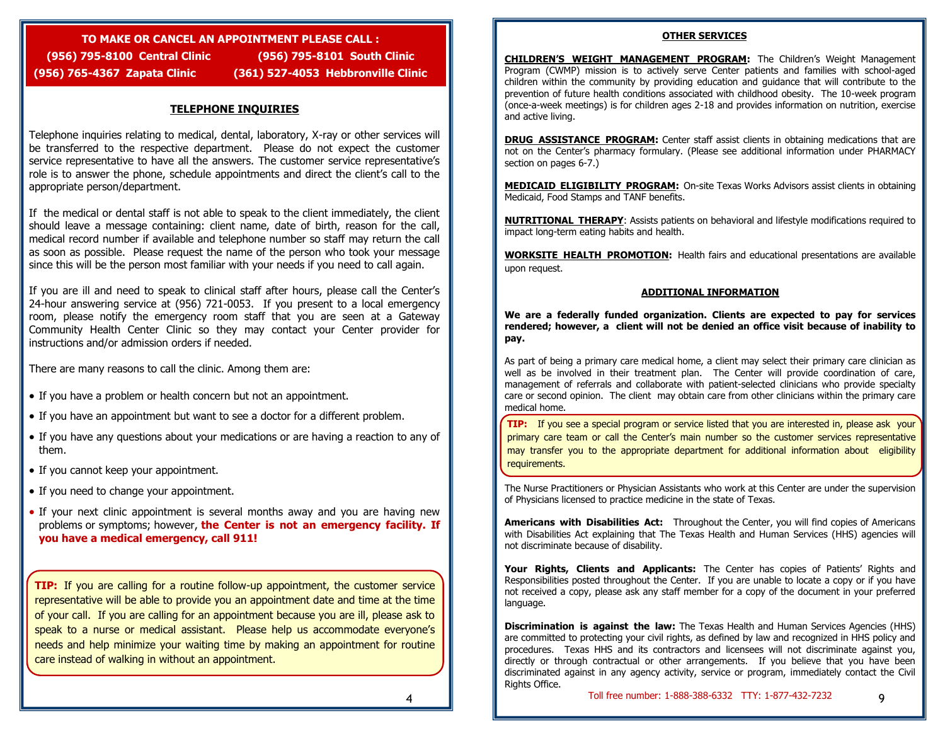# **TO MAKE OR CANCEL AN APPOINTMENT PLEASE CALL : (956) 795-8100 Central Clinic (956) 795-8101 South Clinic**

**(956) 765-4367 Zapata Clinic (361) 527-4053 Hebbronville Clinic** 

## **TELEPHONE INQUIRIES**

Telephone inquiries relating to medical, dental, laboratory, X-ray or other services will be transferred to the respective department. Please do not expect the customer service representative to have all the answers. The customer service representative's role is to answer the phone, schedule appointments and direct the client's call to the appropriate person/department.

If the medical or dental staff is not able to speak to the client immediately, the client should leave a message containing: client name, date of birth, reason for the call, medical record number if available and telephone number so staff may return the call as soon as possible. Please request the name of the person who took your message since this will be the person most familiar with your needs if you need to call again.

If you are ill and need to speak to clinical staff after hours, please call the Center's 24-hour answering service at (956) 721-0053. If you present to a local emergency room, please notify the emergency room staff that you are seen at a Gateway Community Health Center Clinic so they may contact your Center provider for instructions and/or admission orders if needed.

There are many reasons to call the clinic. Among them are:

- If you have a problem or health concern but not an appointment.
- If you have an appointment but want to see a doctor for a different problem.
- If you have any questions about your medications or are having a reaction to any of them.
- If you cannot keep your appointment.
- If you need to change your appointment.
- If your next clinic appointment is several months away and you are having new problems or symptoms; however, **the Center is not an emergency facility. If you have a medical emergency, call 911!**

**TIP:** If you are calling for a routine follow-up appointment, the customer service representative will be able to provide you an appointment date and time at the time of your call. If you are calling for an appointment because you are ill, please ask to speak to a nurse or medical assistant. Please help us accommodate everyone's needs and help minimize your waiting time by making an appointment for routine care instead of walking in without an appointment.

#### **OTHER SERVICES**

**CHILDREN'S WEIGHT MANAGEMENT PROGRAM:** The Children's Weight Management Program (CWMP) mission is to actively serve Center patients and families with school-aged children within the community by providing education and guidance that will contribute to the prevention of future health conditions associated with childhood obesity. The 10-week program (once-a-week meetings) is for children ages 2-18 and provides information on nutrition, exercise and active living.

**DRUG ASSISTANCE PROGRAM:** Center staff assist clients in obtaining medications that are not on the Center's pharmacy formulary. (Please see additional information under PHARMACY section on pages 6-7.)

**MEDICAID ELIGIBILITY PROGRAM:** On-site Texas Works Advisors assist clients in obtaining Medicaid, Food Stamps and TANF benefits.

**NUTRITIONAL THERAPY**: Assists patients on behavioral and lifestyle modifications required to impact long-term eating habits and health.

**WORKSITE HEALTH PROMOTION:** Health fairs and educational presentations are available upon request.

#### **ADDITIONAL INFORMATION**

**We are a federally funded organization. Clients are expected to pay for services rendered; however, a client will not be denied an office visit because of inability to pay.** 

As part of being a primary care medical home, a client may select their primary care clinician as well as be involved in their treatment plan. The Center will provide coordination of care, management of referrals and collaborate with patient-selected clinicians who provide specialty care or second opinion. The client may obtain care from other clinicians within the primary care medical home.

**TIP:** If you see a special program or service listed that you are interested in, please ask your primary care team or call the Center's main number so the customer services representative may transfer you to the appropriate department for additional information about eligibility requirements.

The Nurse Practitioners or Physician Assistants who work at this Center are under the supervision of Physicians licensed to practice medicine in the state of Texas.

**Americans with Disabilities Act:** Throughout the Center, you will find copies of Americans with Disabilities Act explaining that The Texas Health and Human Services (HHS) agencies will not discriminate because of disability.

**Your Rights, Clients and Applicants:** The Center has copies of Patients' Rights and Responsibilities posted throughout the Center. If you are unable to locate a copy or if you have not received a copy, please ask any staff member for a copy of the document in your preferred language.

**Discrimination is against the law:** The Texas Health and Human Services Agencies (HHS) are committed to protecting your civil rights, as defined by law and recognized in HHS policy and procedures. Texas HHS and its contractors and licensees will not discriminate against you, directly or through contractual or other arrangements. If you believe that you have been discriminated against in any agency activity, service or program, immediately contact the Civil Rights Office.

9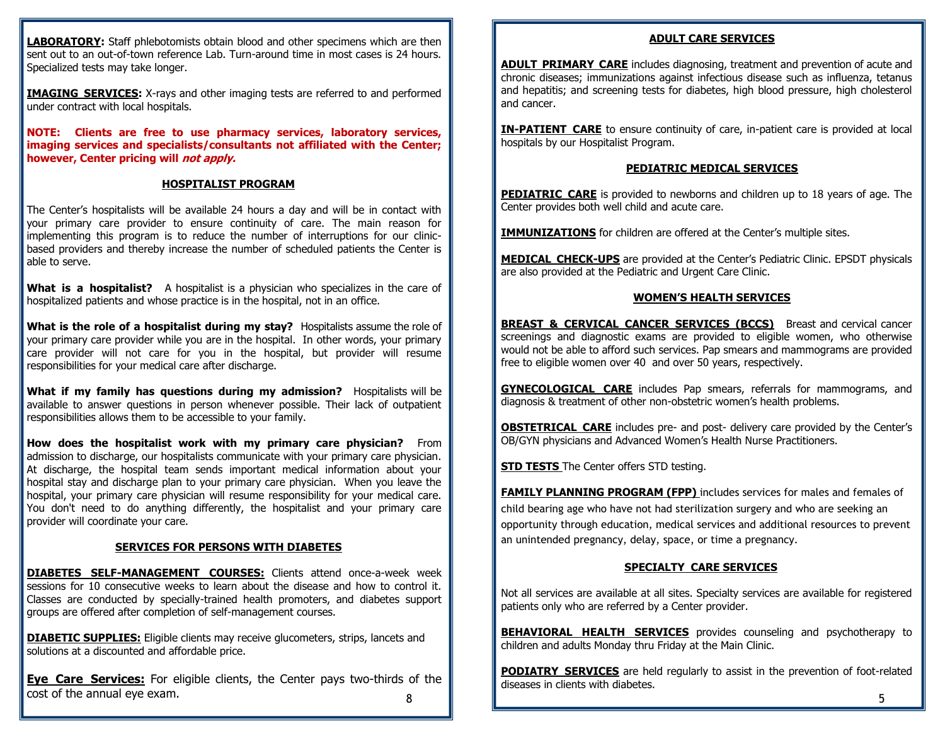**LABORATORY:** Staff phlebotomists obtain blood and other specimens which are then sent out to an out-of-town reference Lab. Turn-around time in most cases is 24 hours. Specialized tests may take longer.

**IMAGING SERVICES:** X-rays and other imaging tests are referred to and performed under contract with local hospitals.

**NOTE: Clients are free to use pharmacy services, laboratory services, imaging services and specialists/consultants not affiliated with the Center; however, Center pricing will not apply.**

#### **HOSPITALIST PROGRAM**

The Center's hospitalists will be available 24 hours a day and will be in contact with your primary care provider to ensure continuity of care. The main reason for implementing this program is to reduce the number of interruptions for our clinicbased providers and thereby increase the number of scheduled patients the Center is able to serve.

**What is a hospitalist?** A hospitalist is a physician who specializes in the care of hospitalized patients and whose practice is in the hospital, not in an office.

**What is the role of a hospitalist during my stay?** Hospitalists assume the role of your primary care provider while you are in the hospital. In other words, your primary care provider will not care for you in the hospital, but provider will resume responsibilities for your medical care after discharge.

**What if my family has questions during my admission?** Hospitalists will be available to answer questions in person whenever possible. Their lack of outpatient responsibilities allows them to be accessible to your family.

**How does the hospitalist work with my primary care physician?** From admission to discharge, our hospitalists communicate with your primary care physician. At discharge, the hospital team sends important medical information about your hospital stay and discharge plan to your primary care physician. When you leave the hospital, your primary care physician will resume responsibility for your medical care. You don't need to do anything differently, the hospitalist and your primary care provider will coordinate your care.

#### **SERVICES FOR PERSONS WITH DIABETES**

**DIABETES SELF-MANAGEMENT COURSES:** Clients attend once-a-week week sessions for 10 consecutive weeks to learn about the disease and how to control it. Classes are conducted by specially-trained health promoters, and diabetes support groups are offered after completion of self-management courses.

**DIABETIC SUPPLIES:** Eligible clients may receive glucometers, strips, lancets and solutions at a discounted and affordable price.

8 **Eye Care Services:** For eligible clients, the Center pays two-thirds of the  $\begin{array}{ccc}\n\text{cost of the annual eye exam.} & \text{s} & \text{s} \\
\text{s} & \text{s} & \text{s}\n\end{array}$ 

#### **ADULT CARE SERVICES**

**ADULT PRIMARY CARE** includes diagnosing, treatment and prevention of acute and chronic diseases; immunizations against infectious disease such as influenza, tetanus and hepatitis; and screening tests for diabetes, high blood pressure, high cholesterol and cancer.

**IN-PATIENT CARE** to ensure continuity of care, in-patient care is provided at local hospitals by our Hospitalist Program.

#### **PEDIATRIC MEDICAL SERVICES**

**PEDIATRIC CARE** is provided to newborns and children up to 18 years of age. The Center provides both well child and acute care.

**IMMUNIZATIONS** for children are offered at the Center's multiple sites.

**MEDICAL CHECK-UPS** are provided at the Center's Pediatric Clinic. EPSDT physicals are also provided at the Pediatric and Urgent Care Clinic.

#### **WOMEN'S HEALTH SERVICES**

**BREAST & CERVICAL CANCER SERVICES (BCCS)** Breast and cervical cancer screenings and diagnostic exams are provided to eligible women, who otherwise would not be able to afford such services. Pap smears and mammograms are provided free to eligible women over 40 and over 50 years, respectively.

**GYNECOLOGICAL CARE** includes Pap smears, referrals for mammograms, and diagnosis & treatment of other non-obstetric women's health problems.

**OBSTETRICAL CARE** includes pre- and post- delivery care provided by the Center's OB/GYN physicians and Advanced Women's Health Nurse Practitioners.

**STD TESTS** The Center offers STD testing.

**FAMILY PLANNING PROGRAM (FPP)** includes services for males and females of child bearing age who have not had sterilization surgery and who are seeking an opportunity through education, medical services and additional resources to prevent an unintended pregnancy, delay, space, or time a pregnancy.

## **SPECIALTY CARE SERVICES**

Not all services are available at all sites. Specialty services are available for registered patients only who are referred by a Center provider.

**BEHAVIORAL HEALTH SERVICES** provides counseling and psychotherapy to children and adults Monday thru Friday at the Main Clinic.

**PODIATRY SERVICES** are held regularly to assist in the prevention of foot-related diseases in clients with diabetes.